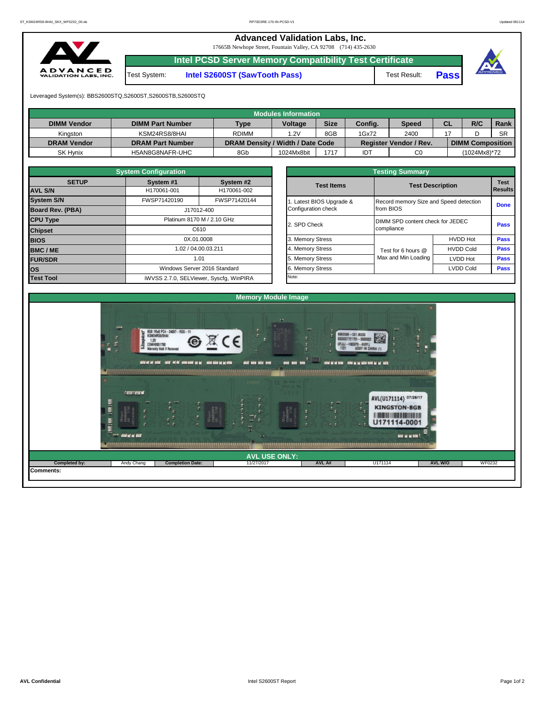**Advanced Validation Labs, Inc.** 

17665B Newhope Street, Fountain Valley, CA 92708 (714) 435-2630



**Intel PCSD Server Memory Compatibility Test Certificate**

Test System: **Intel S2600ST (SawTooth Pass)** Test Result: **Pass**





Leveraged System(s): BBS2600STQ,S2600ST,S2600STB,S2600STQ

|                    |                         |                                  | Modules Information |             |         |                               |           |                         |           |
|--------------------|-------------------------|----------------------------------|---------------------|-------------|---------|-------------------------------|-----------|-------------------------|-----------|
| <b>DIMM Vendor</b> | <b>DIMM Part Number</b> | <b>Type</b>                      | <b>Voltage</b>      | <b>Size</b> | Config. | <b>Speed</b>                  | <b>CL</b> | R/C                     | Rank      |
| Kinaston           | KSM24RS8/8HAI           | <b>RDIMM</b>                     | 1.2V                | 8GB         | 1Gx72   | 2400                          |           |                         | <b>SR</b> |
| <b>DRAM Vendor</b> | <b>DRAM Part Number</b> | DRAM Density / Width / Date Code |                     |             |         | <b>Register Vendor / Rev.</b> |           | <b>DIMM Composition</b> |           |
| <b>SK Hynix</b>    | H5AN8G8NAFR-UHC         | 8Gb                              | 1024Mx8bit          | 1717        | IDT     | C <sub>0</sub>                |           | (1024Mx8)*72            |           |

|                                | <b>System Configuration</b> |                                         |                       |                                        |                  |                        |  |
|--------------------------------|-----------------------------|-----------------------------------------|-----------------------|----------------------------------------|------------------|------------------------|--|
| <b>SETUP</b><br><b>AVL S/N</b> | System #1<br>H170061-001    | System #2<br>H170061-002                | <b>Test Items</b>     | <b>Test Description</b>                |                  | <b>Test</b><br>Results |  |
| <b>System S/N</b>              | FWSP71420190                | FWSP71420144                            | Latest BIOS Upgrade & | Record memory Size and Speed detection |                  | <b>Done</b>            |  |
| <b>Board Rev. (PBA)</b>        |                             | J17012-400                              | Configuration check   | from BIOS                              |                  |                        |  |
| <b>CPU Type</b>                | Platinum 8170 M / 2.10 GHz  |                                         | 2. SPD Check          | DIMM SPD content check for JEDEC       |                  |                        |  |
| <b>Chipset</b>                 | C610                        |                                         |                       | compliance                             |                  |                        |  |
| <b>BIOS</b>                    | 0X.01.0008                  |                                         | 3. Memory Stress      |                                        | <b>HVDD Hot</b>  | Pass                   |  |
| <b>BMC/ME</b>                  |                             | 1.02 / 04.00.03.211                     | 4. Memory Stress      | Test for 6 hours @                     | <b>HVDD Cold</b> | <b>Pass</b>            |  |
| <b>FUR/SDR</b>                 |                             | 1.01                                    | 5. Memory Stress      | Max and Min Loading                    | <b>LVDD Hot</b>  | <b>Pass</b>            |  |
| los                            |                             | Windows Server 2016 Standard            | 6. Memory Stress      |                                        | <b>LVDD Cold</b> | Pass                   |  |
| <b>Test Tool</b>               |                             | iWVSS 2.7.0, SELViewer, Syscfq, WinPIRA | Note:                 |                                        |                  |                        |  |

|              | <b>System Configuration</b> |                                    |                       | <b>Testing Summary</b>                 |                         |             |  |  |  |  |  |
|--------------|-----------------------------|------------------------------------|-----------------------|----------------------------------------|-------------------------|-------------|--|--|--|--|--|
| <b>SETUP</b> | System #1                   | System #2                          | <b>Test Items</b>     |                                        |                         | <b>Test</b> |  |  |  |  |  |
|              | H170061-001                 | H170061-002                        |                       |                                        | <b>Test Description</b> |             |  |  |  |  |  |
|              | FWSP71420190                | FWSP71420144                       | Latest BIOS Upgrade & | Record memory Size and Speed detection |                         |             |  |  |  |  |  |
| PBA)         |                             | J17012-400                         | Configuration check   | from BIOS                              |                         | <b>Done</b> |  |  |  |  |  |
|              |                             | Platinum 8170 M / 2.10 GHz         | 2. SPD Check          | DIMM SPD content check for JEDEC       |                         | Pass        |  |  |  |  |  |
|              |                             | C610                               |                       | compliance                             |                         |             |  |  |  |  |  |
|              | 0X.01.0008                  |                                    | 3. Memory Stress      |                                        | <b>HVDD Hot</b>         | Pass        |  |  |  |  |  |
|              |                             | 1.02 / 04.00.03.211                | 4. Memory Stress      | Test for 6 hours @                     | <b>HVDD Cold</b>        | <b>Pass</b> |  |  |  |  |  |
|              |                             | 1.01                               | 5. Memory Stress      | Max and Min Loading                    | LVDD Hot                | Pass        |  |  |  |  |  |
|              |                             | Windows Server 2016 Standard       | 6. Memory Stress      |                                        | <b>LVDD Cold</b>        | <b>Pass</b> |  |  |  |  |  |
|              |                             | iMVSS 270 SELViewer Svecta WinPIRA | Note:                 |                                        |                         |             |  |  |  |  |  |